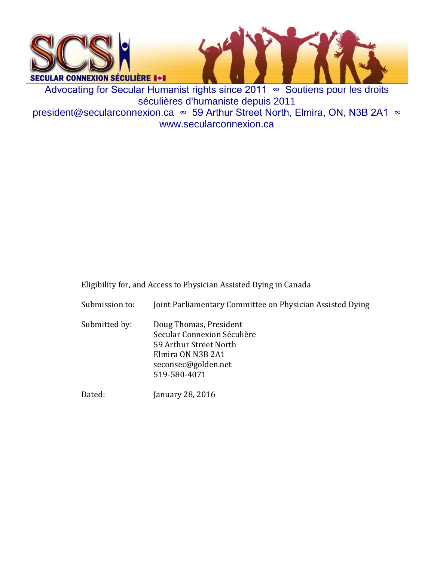

www.secularconnexion.ca

Eligibility for, and Access to Physician Assisted Dying in Canada

Submission to: Joint Parliamentary Committee on Physician Assisted Dying

Submitted by: Doug Thomas, President Secular Connexion Séculière 59 Arthur Street North Elmira ON N3B 2A1 [seconsec@golden.net](mailto:seconsec@golden.net) 519-580-4071

Dated: January 28, 2016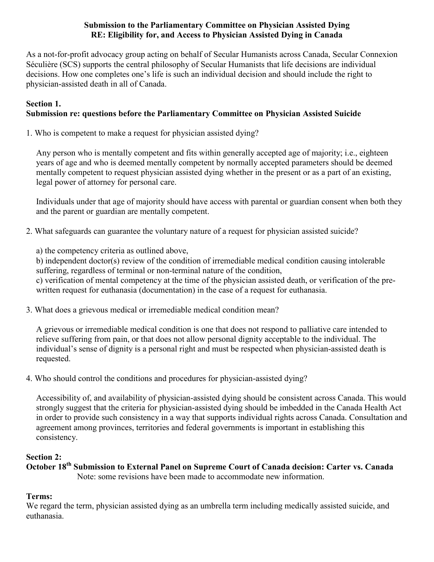#### **Submission to the Parliamentary Committee on Physician Assisted Dying RE: Eligibility for, and Access to Physician Assisted Dying in Canada**

As a not-for-profit advocacy group acting on behalf of Secular Humanists across Canada, Secular Connexion Séculière (SCS) supports the central philosophy of Secular Humanists that life decisions are individual decisions. How one completes one's life is such an individual decision and should include the right to physician-assisted death in all of Canada.

#### **Section 1. Submission re: questions before the Parliamentary Committee on Physician Assisted Suicide**

1. Who is competent to make a request for physician assisted dying?

Any person who is mentally competent and fits within generally accepted age of majority; i.e., eighteen years of age and who is deemed mentally competent by normally accepted parameters should be deemed mentally competent to request physician assisted dying whether in the present or as a part of an existing, legal power of attorney for personal care.

Individuals under that age of majority should have access with parental or guardian consent when both they and the parent or guardian are mentally competent.

2. What safeguards can guarantee the voluntary nature of a request for physician assisted suicide?

a) the competency criteria as outlined above,

b) independent doctor(s) review of the condition of irremediable medical condition causing intolerable suffering, regardless of terminal or non-terminal nature of the condition,

c) verification of mental competency at the time of the physician assisted death, or verification of the prewritten request for euthanasia (documentation) in the case of a request for euthanasia.

3. What does a grievous medical or irremediable medical condition mean?

A grievous or irremediable medical condition is one that does not respond to palliative care intended to relieve suffering from pain, or that does not allow personal dignity acceptable to the individual. The individual's sense of dignity is a personal right and must be respected when physician-assisted death is requested.

4. Who should control the conditions and procedures for physician-assisted dying?

Accessibility of, and availability of physician-assisted dying should be consistent across Canada. This would strongly suggest that the criteria for physician-assisted dying should be imbedded in the Canada Health Act in order to provide such consistency in a way that supports individual rights across Canada. Consultation and agreement among provinces, territories and federal governments is important in establishing this consistency.

# **Section 2:**

**October 18th Submission to External Panel on Supreme Court of Canada decision: Carter vs. Canada** Note: some revisions have been made to accommodate new information.

# **Terms:**

We regard the term, physician assisted dying as an umbrella term including medically assisted suicide, and euthanasia.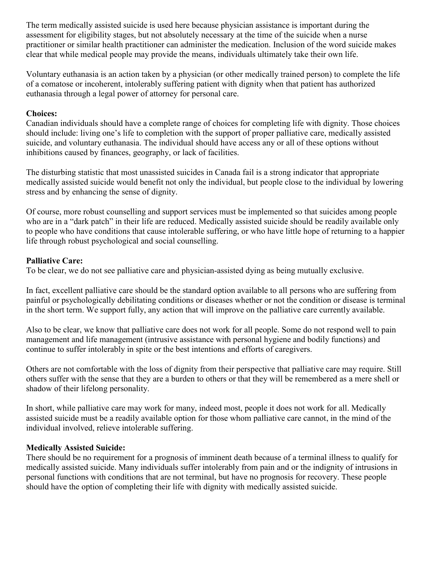The term medically assisted suicide is used here because physician assistance is important during the assessment for eligibility stages, but not absolutely necessary at the time of the suicide when a nurse practitioner or similar health practitioner can administer the medication. Inclusion of the word suicide makes clear that while medical people may provide the means, individuals ultimately take their own life.

Voluntary euthanasia is an action taken by a physician (or other medically trained person) to complete the life of a comatose or incoherent, intolerably suffering patient with dignity when that patient has authorized euthanasia through a legal power of attorney for personal care.

## **Choices:**

Canadian individuals should have a complete range of choices for completing life with dignity. Those choices should include: living one's life to completion with the support of proper palliative care, medically assisted suicide, and voluntary euthanasia. The individual should have access any or all of these options without inhibitions caused by finances, geography, or lack of facilities.

The disturbing statistic that most unassisted suicides in Canada fail is a strong indicator that appropriate medically assisted suicide would benefit not only the individual, but people close to the individual by lowering stress and by enhancing the sense of dignity.

Of course, more robust counselling and support services must be implemented so that suicides among people who are in a "dark patch" in their life are reduced. Medically assisted suicide should be readily available only to people who have conditions that cause intolerable suffering, or who have little hope of returning to a happier life through robust psychological and social counselling.

#### **Palliative Care:**

To be clear, we do not see palliative care and physician-assisted dying as being mutually exclusive.

In fact, excellent palliative care should be the standard option available to all persons who are suffering from painful or psychologically debilitating conditions or diseases whether or not the condition or disease is terminal in the short term. We support fully, any action that will improve on the palliative care currently available.

Also to be clear, we know that palliative care does not work for all people. Some do not respond well to pain management and life management (intrusive assistance with personal hygiene and bodily functions) and continue to suffer intolerably in spite or the best intentions and efforts of caregivers.

Others are not comfortable with the loss of dignity from their perspective that palliative care may require. Still others suffer with the sense that they are a burden to others or that they will be remembered as a mere shell or shadow of their lifelong personality.

In short, while palliative care may work for many, indeed most, people it does not work for all. Medically assisted suicide must be a readily available option for those whom palliative care cannot, in the mind of the individual involved, relieve intolerable suffering.

## **Medically Assisted Suicide:**

There should be no requirement for a prognosis of imminent death because of a terminal illness to qualify for medically assisted suicide. Many individuals suffer intolerably from pain and or the indignity of intrusions in personal functions with conditions that are not terminal, but have no prognosis for recovery. These people should have the option of completing their life with dignity with medically assisted suicide.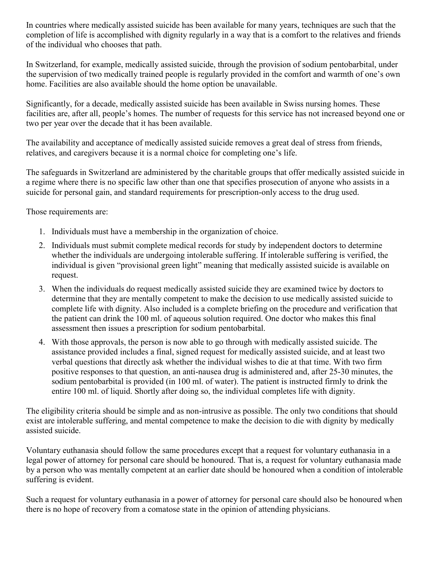In countries where medically assisted suicide has been available for many years, techniques are such that the completion of life is accomplished with dignity regularly in a way that is a comfort to the relatives and friends of the individual who chooses that path.

In Switzerland, for example, medically assisted suicide, through the provision of sodium pentobarbital, under the supervision of two medically trained people is regularly provided in the comfort and warmth of one's own home. Facilities are also available should the home option be unavailable.

Significantly, for a decade, medically assisted suicide has been available in Swiss nursing homes. These facilities are, after all, people's homes. The number of requests for this service has not increased beyond one or two per year over the decade that it has been available.

The availability and acceptance of medically assisted suicide removes a great deal of stress from friends, relatives, and caregivers because it is a normal choice for completing one's life.

The safeguards in Switzerland are administered by the charitable groups that offer medically assisted suicide in a regime where there is no specific law other than one that specifies prosecution of anyone who assists in a suicide for personal gain, and standard requirements for prescription-only access to the drug used.

Those requirements are:

- 1. Individuals must have a membership in the organization of choice.
- 2. Individuals must submit complete medical records for study by independent doctors to determine whether the individuals are undergoing intolerable suffering. If intolerable suffering is verified, the individual is given "provisional green light" meaning that medically assisted suicide is available on request.
- 3. When the individuals do request medically assisted suicide they are examined twice by doctors to determine that they are mentally competent to make the decision to use medically assisted suicide to complete life with dignity. Also included is a complete briefing on the procedure and verification that the patient can drink the 100 ml. of aqueous solution required. One doctor who makes this final assessment then issues a prescription for sodium pentobarbital.
- 4. With those approvals, the person is now able to go through with medically assisted suicide. The assistance provided includes a final, signed request for medically assisted suicide, and at least two verbal questions that directly ask whether the individual wishes to die at that time. With two firm positive responses to that question, an anti-nausea drug is administered and, after 25-30 minutes, the sodium pentobarbital is provided (in 100 ml. of water). The patient is instructed firmly to drink the entire 100 ml. of liquid. Shortly after doing so, the individual completes life with dignity.

The eligibility criteria should be simple and as non-intrusive as possible. The only two conditions that should exist are intolerable suffering, and mental competence to make the decision to die with dignity by medically assisted suicide.

Voluntary euthanasia should follow the same procedures except that a request for voluntary euthanasia in a legal power of attorney for personal care should be honoured. That is, a request for voluntary euthanasia made by a person who was mentally competent at an earlier date should be honoured when a condition of intolerable suffering is evident.

Such a request for voluntary euthanasia in a power of attorney for personal care should also be honoured when there is no hope of recovery from a comatose state in the opinion of attending physicians.